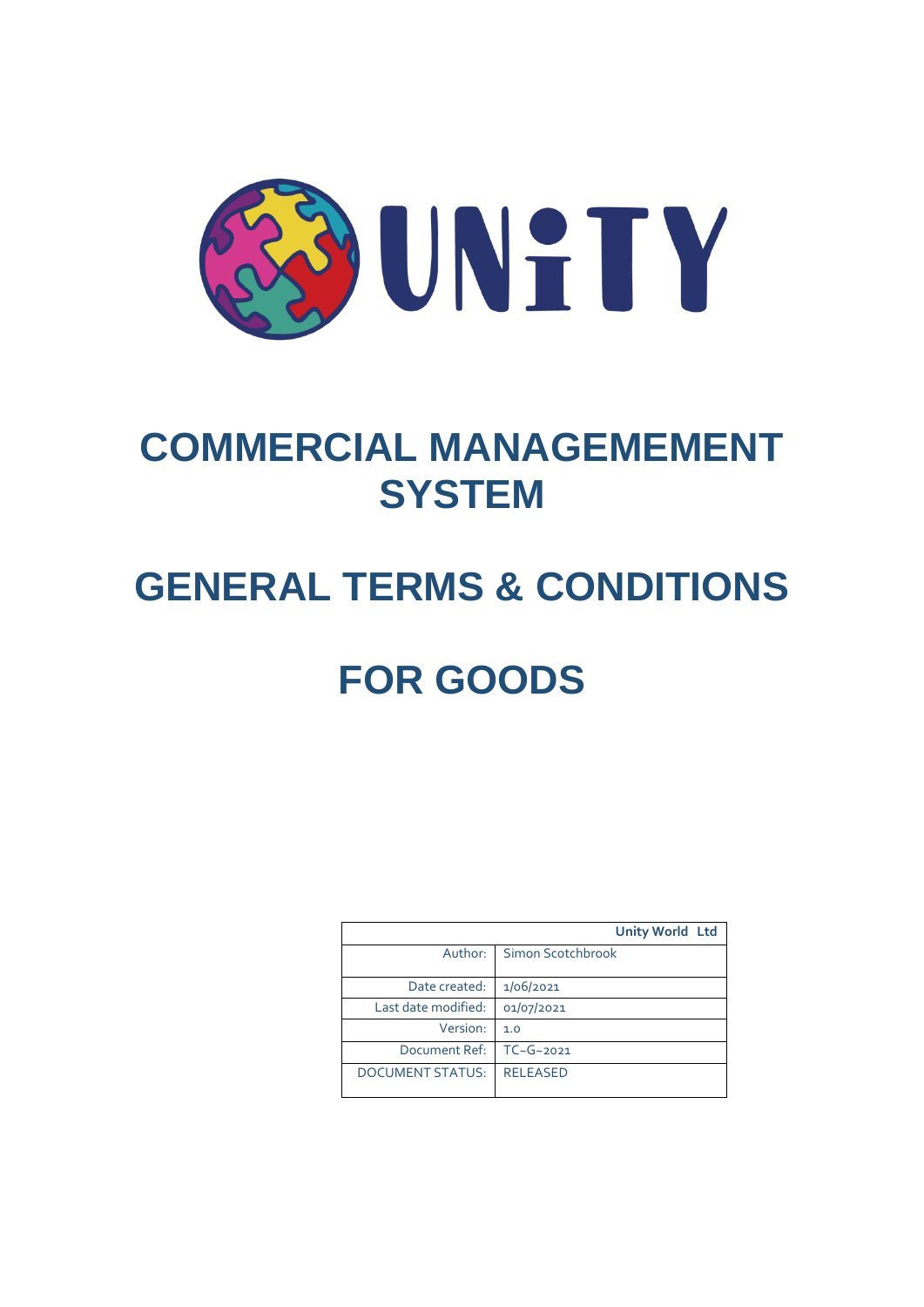

## **COMMERCIAL MANAGEMEMENT SYSTEM**

# **GENERAL TERMS & CONDITIONS**

# **FOR GOODS**

|                         | <b>Unity World Ltd</b> |
|-------------------------|------------------------|
| Author:                 | Simon Scotchbrook      |
| Date created:           | 1/06/2021              |
| Last date modified:     | 01/07/2021             |
| Version:                | 1.0                    |
| Document Ref:           | $TC - G - 2021$        |
| <b>DOCUMENT STATUS:</b> | <b>RELEASED</b>        |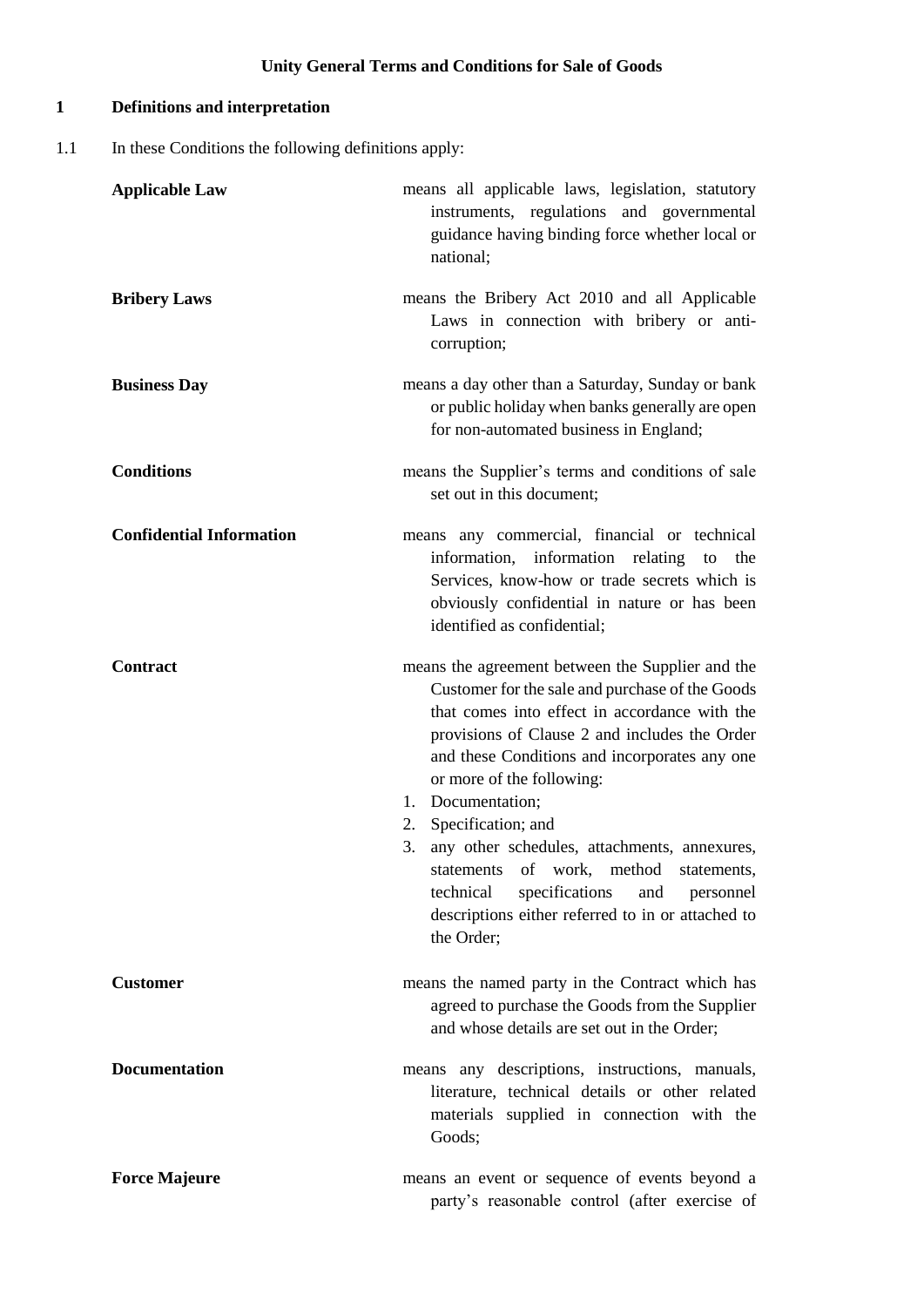## **1 Definitions and interpretation**

1.1 In these Conditions the following definitions apply:

| <b>Applicable Law</b>           | means all applicable laws, legislation, statutory<br>instruments, regulations and governmental<br>guidance having binding force whether local or<br>national;                                                                                                                                                                                                                                                                                                                                                                                              |
|---------------------------------|------------------------------------------------------------------------------------------------------------------------------------------------------------------------------------------------------------------------------------------------------------------------------------------------------------------------------------------------------------------------------------------------------------------------------------------------------------------------------------------------------------------------------------------------------------|
| <b>Bribery Laws</b>             | means the Bribery Act 2010 and all Applicable<br>Laws in connection with bribery or anti-<br>corruption;                                                                                                                                                                                                                                                                                                                                                                                                                                                   |
| <b>Business Day</b>             | means a day other than a Saturday, Sunday or bank<br>or public holiday when banks generally are open<br>for non-automated business in England;                                                                                                                                                                                                                                                                                                                                                                                                             |
| <b>Conditions</b>               | means the Supplier's terms and conditions of sale<br>set out in this document;                                                                                                                                                                                                                                                                                                                                                                                                                                                                             |
| <b>Confidential Information</b> | means any commercial, financial or technical<br>information, information relating<br>to<br>the<br>Services, know-how or trade secrets which is<br>obviously confidential in nature or has been<br>identified as confidential;                                                                                                                                                                                                                                                                                                                              |
| Contract                        | means the agreement between the Supplier and the<br>Customer for the sale and purchase of the Goods<br>that comes into effect in accordance with the<br>provisions of Clause 2 and includes the Order<br>and these Conditions and incorporates any one<br>or more of the following:<br>1. Documentation;<br>Specification; and<br>2.<br>any other schedules, attachments, annexures,<br>3.<br>statements of work, method statements,<br>specifications<br>technical<br>and<br>personnel<br>descriptions either referred to in or attached to<br>the Order; |
| <b>Customer</b>                 | means the named party in the Contract which has<br>agreed to purchase the Goods from the Supplier<br>and whose details are set out in the Order;                                                                                                                                                                                                                                                                                                                                                                                                           |
| <b>Documentation</b>            | means any descriptions, instructions, manuals,<br>literature, technical details or other related<br>materials supplied in connection with the<br>Goods;                                                                                                                                                                                                                                                                                                                                                                                                    |
| <b>Force Majeure</b>            | means an event or sequence of events beyond a<br>party's reasonable control (after exercise of                                                                                                                                                                                                                                                                                                                                                                                                                                                             |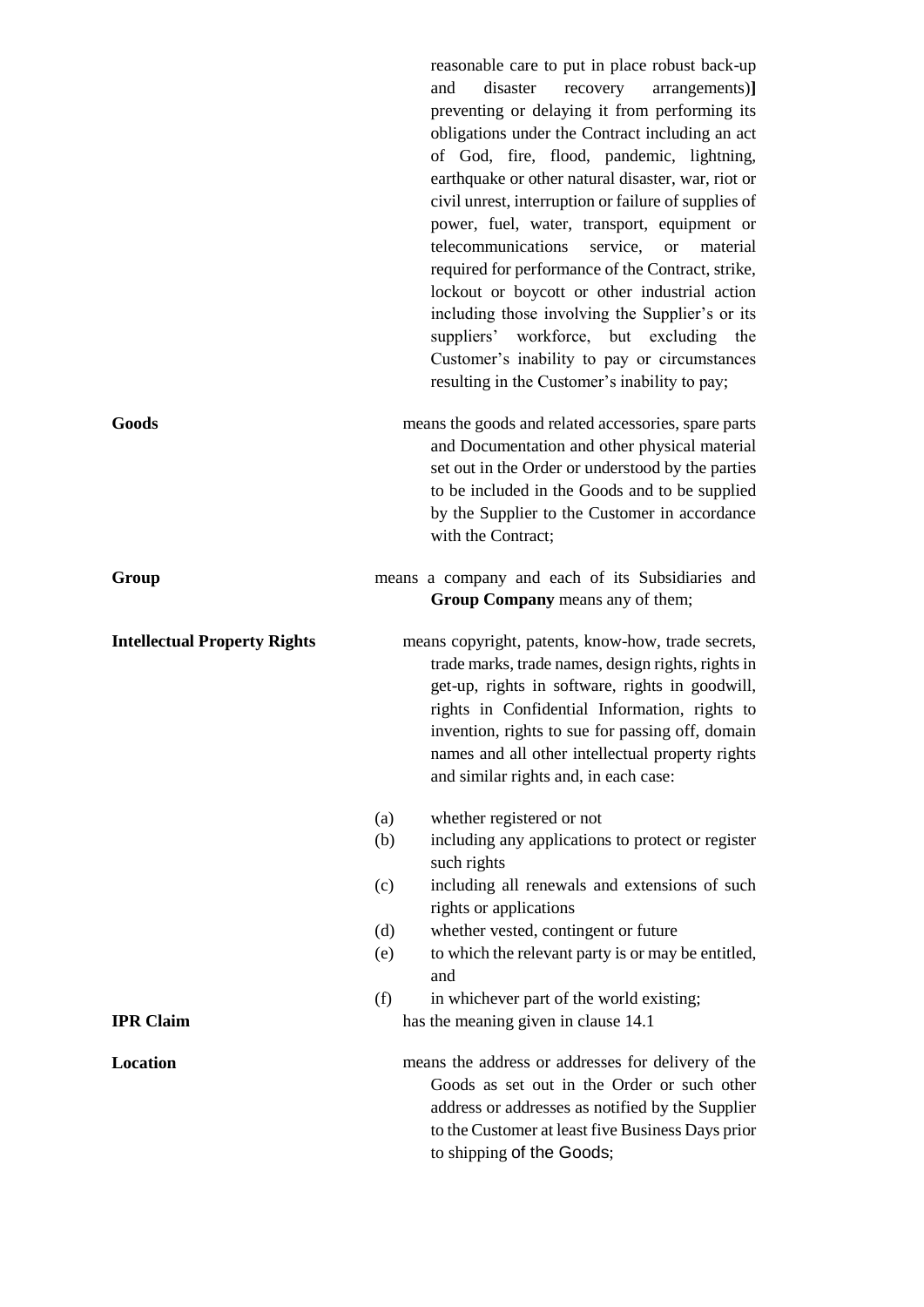reasonable care to put in place robust back-up and disaster recovery arrangements)**]** preventing or delaying it from performing its obligations under the Contract including an act of God, fire, flood, pandemic, lightning, earthquake or other natural disaster, war, riot or civil unrest, interruption or failure of supplies of power, fuel, water, transport, equipment or telecommunications service, or material required for performance of the Contract, strike, lockout or boycott or other industrial action including those involving the Supplier's or its suppliers' workforce, but excluding the Customer's inability to pay or circumstances resulting in the Customer's inability to pay;

**Goods** means the goods and related accessories, spare parts and Documentation and other physical material set out in the Order or understood by the parties to be included in the Goods and to be supplied by the Supplier to the Customer in accordance with the Contract:

## Group means a company and each of its Subsidiaries and **Group Company** means any of them;

**Intellectual Property Rights** means copyright, patents, know-how, trade secrets, trade marks, trade names, design rights, rights in get-up, rights in software, rights in goodwill, rights in Confidential Information, rights to invention, rights to sue for passing off, domain names and all other intellectual property rights and similar rights and, in each case:

- (a) whether registered or not
- (b) including any applications to protect or register such rights
- (c) including all renewals and extensions of such rights or applications
- (d) whether vested, contingent or future
- (e) to which the relevant party is or may be entitled, and
- (f) in whichever part of the world existing; **IPR Claim** has the meaning given in clause 14.1
- **Location** means the address or addresses for delivery of the Goods as set out in the Order or such other address or addresses as notified by the Supplier to the Customer at least five Business Days prior to shipping of the Goods;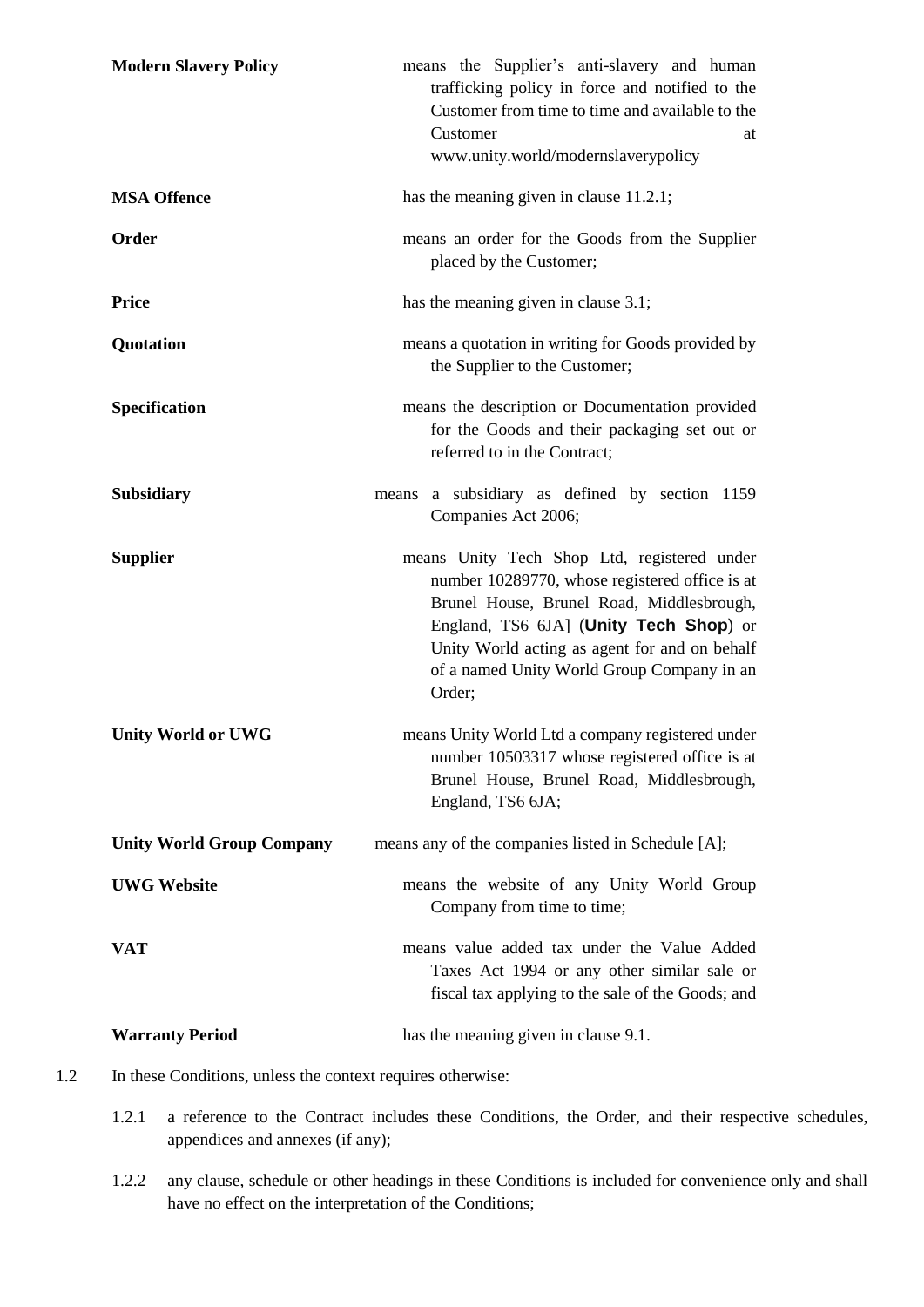| <b>Modern Slavery Policy</b>     | means the Supplier's anti-slavery and human<br>trafficking policy in force and notified to the<br>Customer from time to time and available to the<br>Customer<br>at<br>www.unity.world/modernslaverypolicy                                                                                    |  |
|----------------------------------|-----------------------------------------------------------------------------------------------------------------------------------------------------------------------------------------------------------------------------------------------------------------------------------------------|--|
| <b>MSA Offence</b>               | has the meaning given in clause 11.2.1;                                                                                                                                                                                                                                                       |  |
| Order                            | means an order for the Goods from the Supplier<br>placed by the Customer;                                                                                                                                                                                                                     |  |
| <b>Price</b>                     | has the meaning given in clause 3.1;                                                                                                                                                                                                                                                          |  |
| Quotation                        | means a quotation in writing for Goods provided by<br>the Supplier to the Customer;                                                                                                                                                                                                           |  |
| <b>Specification</b>             | means the description or Documentation provided<br>for the Goods and their packaging set out or<br>referred to in the Contract;                                                                                                                                                               |  |
| <b>Subsidiary</b>                | means a subsidiary as defined by section 1159<br>Companies Act 2006;                                                                                                                                                                                                                          |  |
| <b>Supplier</b>                  | means Unity Tech Shop Ltd, registered under<br>number 10289770, whose registered office is at<br>Brunel House, Brunel Road, Middlesbrough,<br>England, TS6 6JA] (Unity Tech Shop) or<br>Unity World acting as agent for and on behalf<br>of a named Unity World Group Company in an<br>Order; |  |
| <b>Unity World or UWG</b>        | means Unity World Ltd a company registered under<br>number 10503317 whose registered office is at<br>Brunel House, Brunel Road, Middlesbrough,<br>England, TS6 6JA;                                                                                                                           |  |
| <b>Unity World Group Company</b> | means any of the companies listed in Schedule [A];                                                                                                                                                                                                                                            |  |
| <b>UWG Website</b>               | means the website of any Unity World Group<br>Company from time to time;                                                                                                                                                                                                                      |  |
| VAT                              | means value added tax under the Value Added<br>Taxes Act 1994 or any other similar sale or<br>fiscal tax applying to the sale of the Goods; and                                                                                                                                               |  |
| <b>Warranty Period</b>           | has the meaning given in clause 9.1.                                                                                                                                                                                                                                                          |  |

- 1.2 In these Conditions, unless the context requires otherwise:
	- 1.2.1 a reference to the Contract includes these Conditions, the Order, and their respective schedules, appendices and annexes (if any);
	- 1.2.2 any clause, schedule or other headings in these Conditions is included for convenience only and shall have no effect on the interpretation of the Conditions;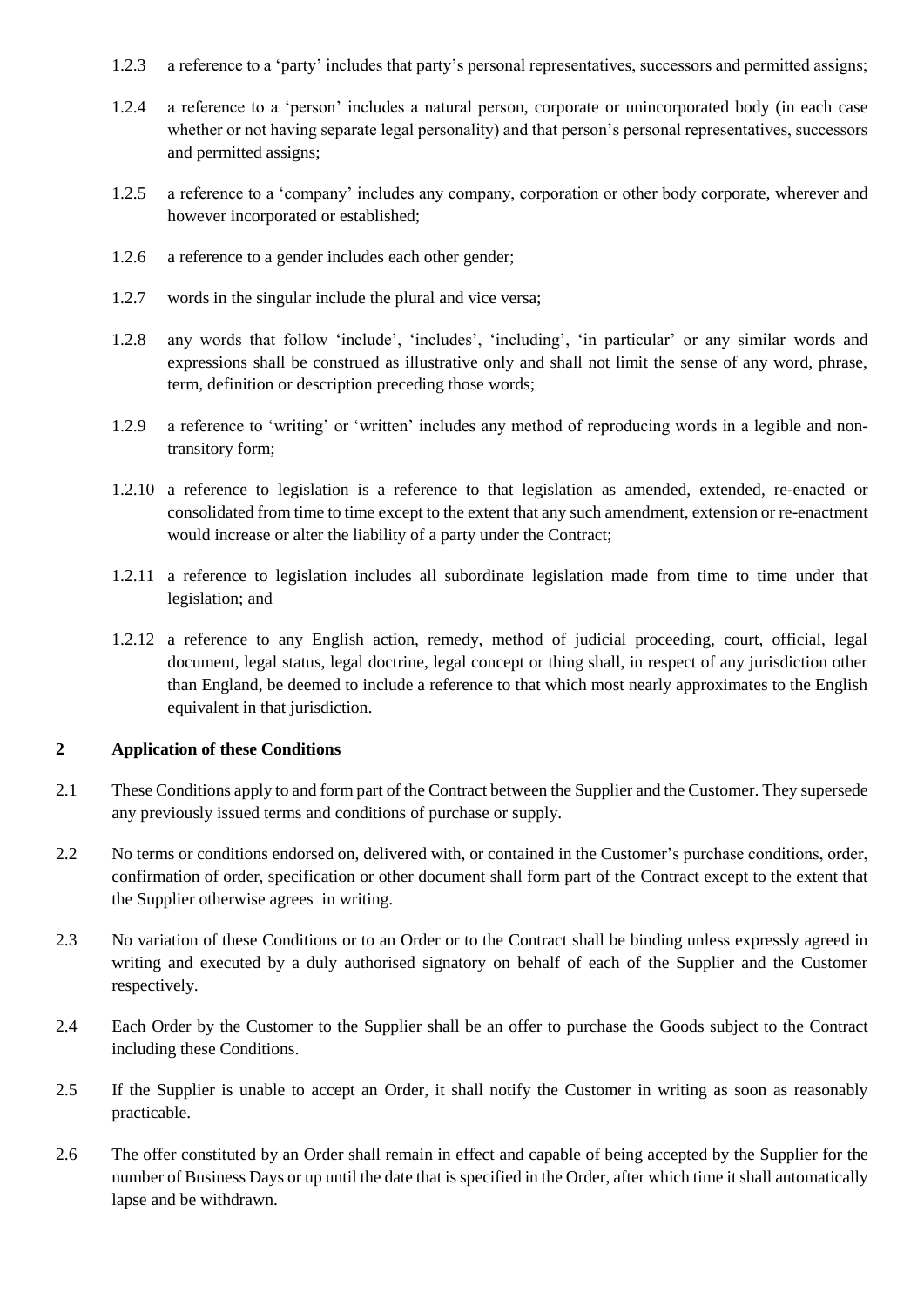- 1.2.3 a reference to a 'party' includes that party's personal representatives, successors and permitted assigns;
- 1.2.4 a reference to a 'person' includes a natural person, corporate or unincorporated body (in each case whether or not having separate legal personality) and that person's personal representatives, successors and permitted assigns;
- 1.2.5 a reference to a 'company' includes any company, corporation or other body corporate, wherever and however incorporated or established;
- 1.2.6 a reference to a gender includes each other gender;
- 1.2.7 words in the singular include the plural and vice versa;
- 1.2.8 any words that follow 'include', 'includes', 'including', 'in particular' or any similar words and expressions shall be construed as illustrative only and shall not limit the sense of any word, phrase, term, definition or description preceding those words;
- 1.2.9 a reference to 'writing' or 'written' includes any method of reproducing words in a legible and nontransitory form;
- 1.2.10 a reference to legislation is a reference to that legislation as amended, extended, re-enacted or consolidated from time to time except to the extent that any such amendment, extension or re-enactment would increase or alter the liability of a party under the Contract;
- 1.2.11 a reference to legislation includes all subordinate legislation made from time to time under that legislation; and
- 1.2.12 a reference to any English action, remedy, method of judicial proceeding, court, official, legal document, legal status, legal doctrine, legal concept or thing shall, in respect of any jurisdiction other than England, be deemed to include a reference to that which most nearly approximates to the English equivalent in that jurisdiction.

#### **2 Application of these Conditions**

- 2.1 These Conditions apply to and form part of the Contract between the Supplier and the Customer. They supersede any previously issued terms and conditions of purchase or supply.
- 2.2 No terms or conditions endorsed on, delivered with, or contained in the Customer's purchase conditions, order, confirmation of order, specification or other document shall form part of the Contract except to the extent that the Supplier otherwise agrees in writing.
- 2.3 No variation of these Conditions or to an Order or to the Contract shall be binding unless expressly agreed in writing and executed by a duly authorised signatory on behalf of each of the Supplier and the Customer respectively.
- 2.4 Each Order by the Customer to the Supplier shall be an offer to purchase the Goods subject to the Contract including these Conditions.
- 2.5 If the Supplier is unable to accept an Order, it shall notify the Customer in writing as soon as reasonably practicable.
- 2.6 The offer constituted by an Order shall remain in effect and capable of being accepted by the Supplier for the number of Business Days or up until the date that is specified in the Order, after which time it shall automatically lapse and be withdrawn.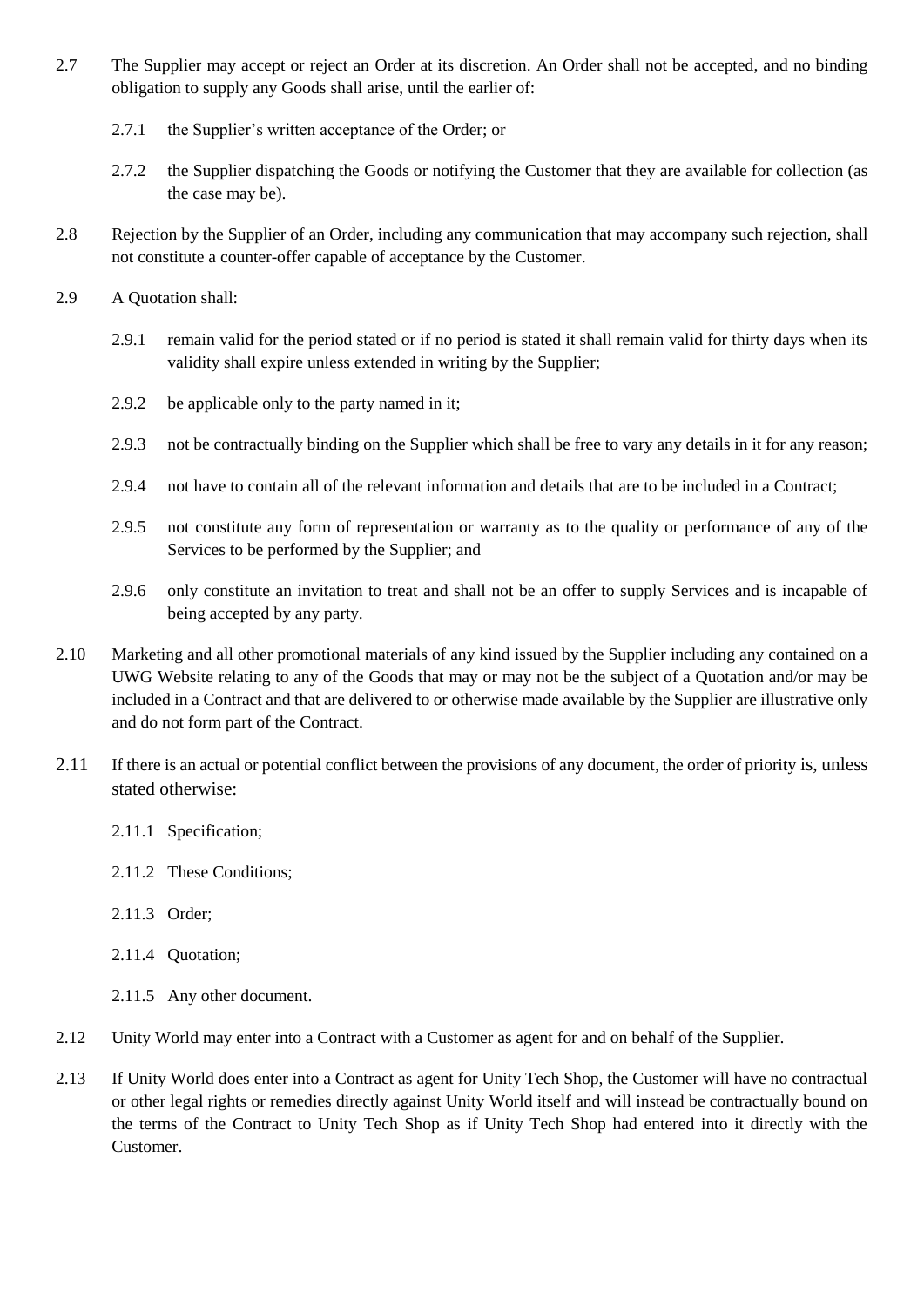- 2.7 The Supplier may accept or reject an Order at its discretion. An Order shall not be accepted, and no binding obligation to supply any Goods shall arise, until the earlier of:
	- 2.7.1 the Supplier's written acceptance of the Order; or
	- 2.7.2 the Supplier dispatching the Goods or notifying the Customer that they are available for collection (as the case may be).
- 2.8 Rejection by the Supplier of an Order, including any communication that may accompany such rejection, shall not constitute a counter-offer capable of acceptance by the Customer.
- 2.9 A Quotation shall:
	- 2.9.1 remain valid for the period stated or if no period is stated it shall remain valid for thirty days when its validity shall expire unless extended in writing by the Supplier;
	- 2.9.2 be applicable only to the party named in it:
	- 2.9.3 not be contractually binding on the Supplier which shall be free to vary any details in it for any reason;
	- 2.9.4 not have to contain all of the relevant information and details that are to be included in a Contract;
	- 2.9.5 not constitute any form of representation or warranty as to the quality or performance of any of the Services to be performed by the Supplier; and
	- 2.9.6 only constitute an invitation to treat and shall not be an offer to supply Services and is incapable of being accepted by any party.
- 2.10 Marketing and all other promotional materials of any kind issued by the Supplier including any contained on a UWG Website relating to any of the Goods that may or may not be the subject of a Quotation and/or may be included in a Contract and that are delivered to or otherwise made available by the Supplier are illustrative only and do not form part of the Contract.
- 2.11 If there is an actual or potential conflict between the provisions of any document, the order of priority is, unless stated otherwise:
	- 2.11.1 Specification;
	- 2.11.2 These Conditions;
	- 2.11.3 Order;
	- 2.11.4 Quotation;
	- 2.11.5 Any other document.
- 2.12 Unity World may enter into a Contract with a Customer as agent for and on behalf of the Supplier.
- 2.13 If Unity World does enter into a Contract as agent for Unity Tech Shop, the Customer will have no contractual or other legal rights or remedies directly against Unity World itself and will instead be contractually bound on the terms of the Contract to Unity Tech Shop as if Unity Tech Shop had entered into it directly with the Customer.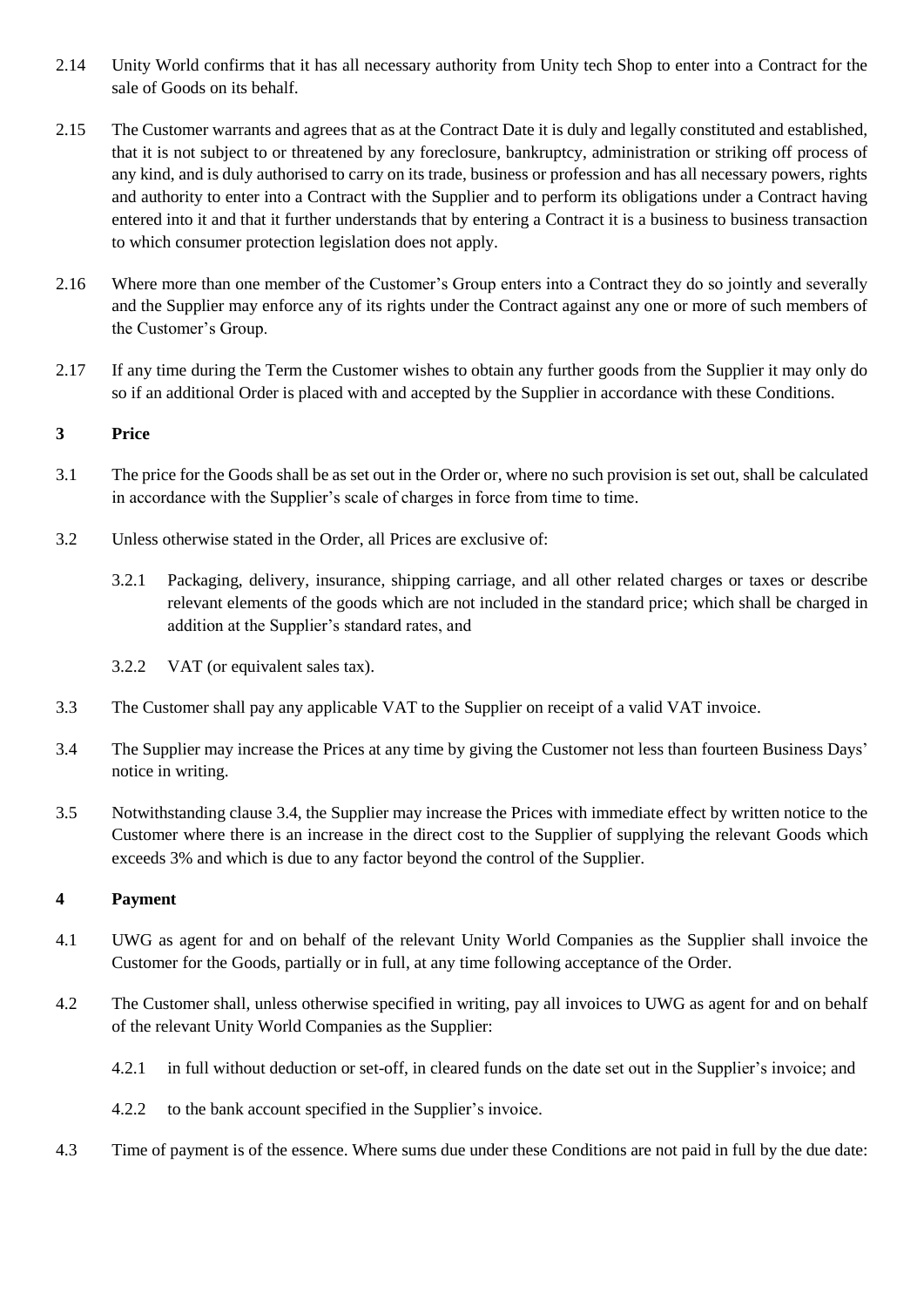- 2.14 Unity World confirms that it has all necessary authority from Unity tech Shop to enter into a Contract for the sale of Goods on its behalf.
- 2.15 The Customer warrants and agrees that as at the Contract Date it is duly and legally constituted and established, that it is not subject to or threatened by any foreclosure, bankruptcy, administration or striking off process of any kind, and is duly authorised to carry on its trade, business or profession and has all necessary powers, rights and authority to enter into a Contract with the Supplier and to perform its obligations under a Contract having entered into it and that it further understands that by entering a Contract it is a business to business transaction to which consumer protection legislation does not apply.
- 2.16 Where more than one member of the Customer's Group enters into a Contract they do so jointly and severally and the Supplier may enforce any of its rights under the Contract against any one or more of such members of the Customer's Group.
- 2.17 If any time during the Term the Customer wishes to obtain any further goods from the Supplier it may only do so if an additional Order is placed with and accepted by the Supplier in accordance with these Conditions.

## **3 Price**

- 3.1 The price for the Goods shall be as set out in the Order or, where no such provision is set out, shall be calculated in accordance with the Supplier's scale of charges in force from time to time.
- 3.2 Unless otherwise stated in the Order, all Prices are exclusive of:
	- 3.2.1 Packaging, delivery, insurance, shipping carriage, and all other related charges or taxes or describe relevant elements of the goods which are not included in the standard price; which shall be charged in addition at the Supplier's standard rates, and
	- 3.2.2 VAT (or equivalent sales tax).
- 3.3 The Customer shall pay any applicable VAT to the Supplier on receipt of a valid VAT invoice.
- 3.4 The Supplier may increase the Prices at any time by giving the Customer not less than fourteen Business Days' notice in writing.
- 3.5 Notwithstanding clause 3.4, the Supplier may increase the Prices with immediate effect by written notice to the Customer where there is an increase in the direct cost to the Supplier of supplying the relevant Goods which exceeds 3% and which is due to any factor beyond the control of the Supplier.

#### **4 Payment**

- 4.1 UWG as agent for and on behalf of the relevant Unity World Companies as the Supplier shall invoice the Customer for the Goods, partially or in full, at any time following acceptance of the Order.
- 4.2 The Customer shall, unless otherwise specified in writing, pay all invoices to UWG as agent for and on behalf of the relevant Unity World Companies as the Supplier:
	- 4.2.1 in full without deduction or set-off, in cleared funds on the date set out in the Supplier's invoice; and
	- 4.2.2 to the bank account specified in the Supplier's invoice.
- 4.3 Time of payment is of the essence. Where sums due under these Conditions are not paid in full by the due date: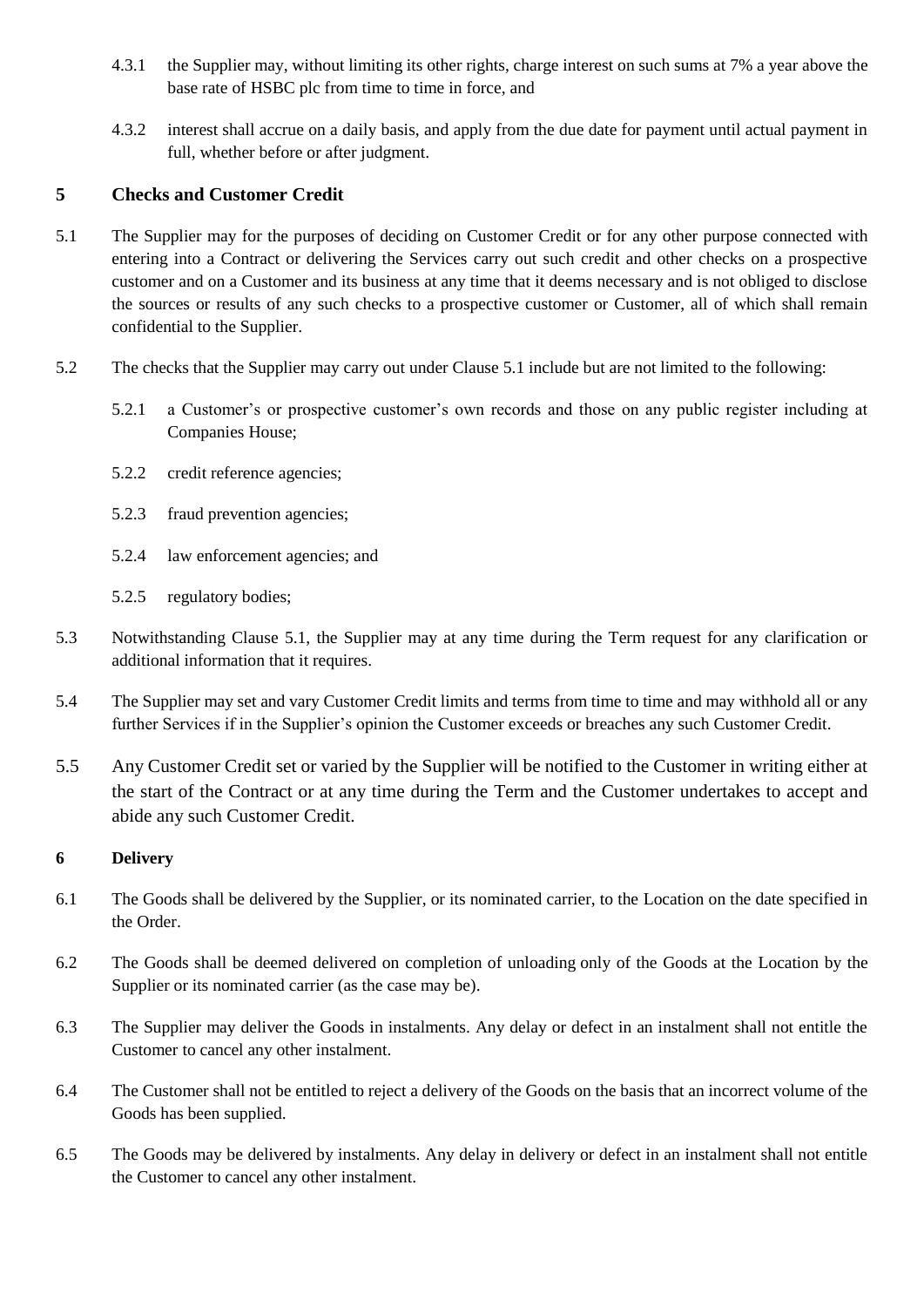- 4.3.1 the Supplier may, without limiting its other rights, charge interest on such sums at 7% a year above the base rate of HSBC plc from time to time in force, and
- 4.3.2 interest shall accrue on a daily basis, and apply from the due date for payment until actual payment in full, whether before or after judgment.

## **5 Checks and Customer Credit**

- 5.1 The Supplier may for the purposes of deciding on Customer Credit or for any other purpose connected with entering into a Contract or delivering the Services carry out such credit and other checks on a prospective customer and on a Customer and its business at any time that it deems necessary and is not obliged to disclose the sources or results of any such checks to a prospective customer or Customer, all of which shall remain confidential to the Supplier.
- 5.2 The checks that the Supplier may carry out under Clause 5.1 include but are not limited to the following:
	- 5.2.1 a Customer's or prospective customer's own records and those on any public register including at Companies House;
	- 5.2.2 credit reference agencies;
	- 5.2.3 fraud prevention agencies;
	- 5.2.4 law enforcement agencies; and
	- 5.2.5 regulatory bodies;
- 5.3 Notwithstanding Clause 5.1, the Supplier may at any time during the Term request for any clarification or additional information that it requires.
- 5.4 The Supplier may set and vary Customer Credit limits and terms from time to time and may withhold all or any further Services if in the Supplier's opinion the Customer exceeds or breaches any such Customer Credit.
- 5.5 Any Customer Credit set or varied by the Supplier will be notified to the Customer in writing either at the start of the Contract or at any time during the Term and the Customer undertakes to accept and abide any such Customer Credit.

#### **6 Delivery**

- 6.1 The Goods shall be delivered by the Supplier, or its nominated carrier, to the Location on the date specified in the Order.
- 6.2 The Goods shall be deemed delivered on completion of unloading only of the Goods at the Location by the Supplier or its nominated carrier (as the case may be).
- 6.3 The Supplier may deliver the Goods in instalments. Any delay or defect in an instalment shall not entitle the Customer to cancel any other instalment.
- 6.4 The Customer shall not be entitled to reject a delivery of the Goods on the basis that an incorrect volume of the Goods has been supplied.
- 6.5 The Goods may be delivered by instalments. Any delay in delivery or defect in an instalment shall not entitle the Customer to cancel any other instalment.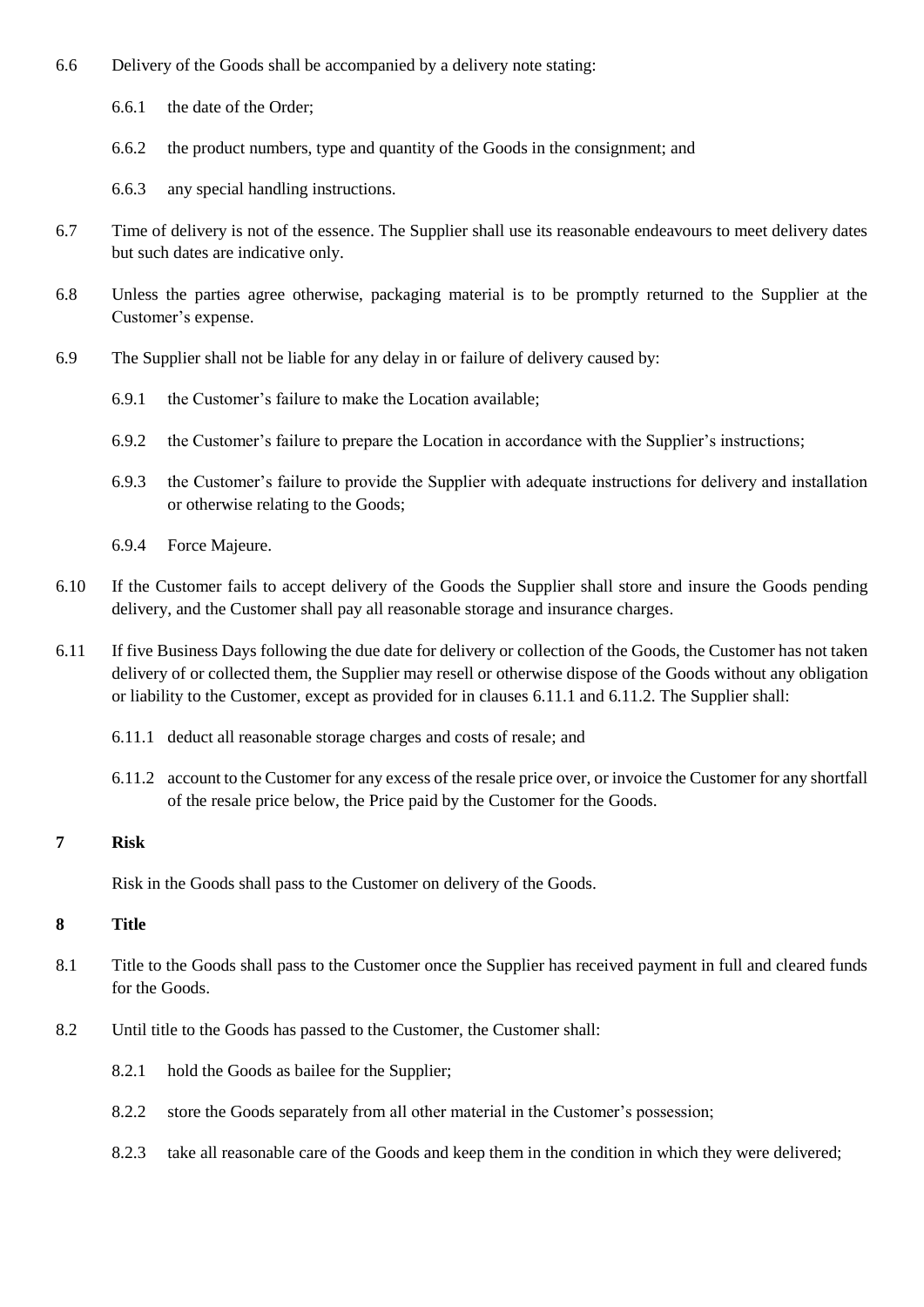- 6.6 Delivery of the Goods shall be accompanied by a delivery note stating:
	- 6.6.1 the date of the Order;
	- 6.6.2 the product numbers, type and quantity of the Goods in the consignment; and
	- 6.6.3 any special handling instructions.
- 6.7 Time of delivery is not of the essence. The Supplier shall use its reasonable endeavours to meet delivery dates but such dates are indicative only.
- 6.8 Unless the parties agree otherwise, packaging material is to be promptly returned to the Supplier at the Customer's expense.
- 6.9 The Supplier shall not be liable for any delay in or failure of delivery caused by:
	- 6.9.1 the Customer's failure to make the Location available;
	- 6.9.2 the Customer's failure to prepare the Location in accordance with the Supplier's instructions;
	- 6.9.3 the Customer's failure to provide the Supplier with adequate instructions for delivery and installation or otherwise relating to the Goods;
	- 6.9.4 Force Majeure.
- 6.10 If the Customer fails to accept delivery of the Goods the Supplier shall store and insure the Goods pending delivery, and the Customer shall pay all reasonable storage and insurance charges.
- 6.11 If five Business Days following the due date for delivery or collection of the Goods, the Customer has not taken delivery of or collected them, the Supplier may resell or otherwise dispose of the Goods without any obligation or liability to the Customer, except as provided for in clauses [6.11.1](#page-8-0) and [6.11.2.](#page-8-1) The Supplier shall:
	- 6.11.1 deduct all reasonable storage charges and costs of resale; and
	- 6.11.2 account to the Customer for any excess of the resale price over, or invoice the Customer for any shortfall of the resale price below, the Price paid by the Customer for the Goods.

## **7 Risk**

<span id="page-8-1"></span><span id="page-8-0"></span>Risk in the Goods shall pass to the Customer on delivery of the Goods.

#### **8 Title**

- 8.1 Title to the Goods shall pass to the Customer once the Supplier has received payment in full and cleared funds for the Goods.
- 8.2 Until title to the Goods has passed to the Customer, the Customer shall:
	- 8.2.1 hold the Goods as bailee for the Supplier;
	- 8.2.2 store the Goods separately from all other material in the Customer's possession;
	- 8.2.3 take all reasonable care of the Goods and keep them in the condition in which they were delivered;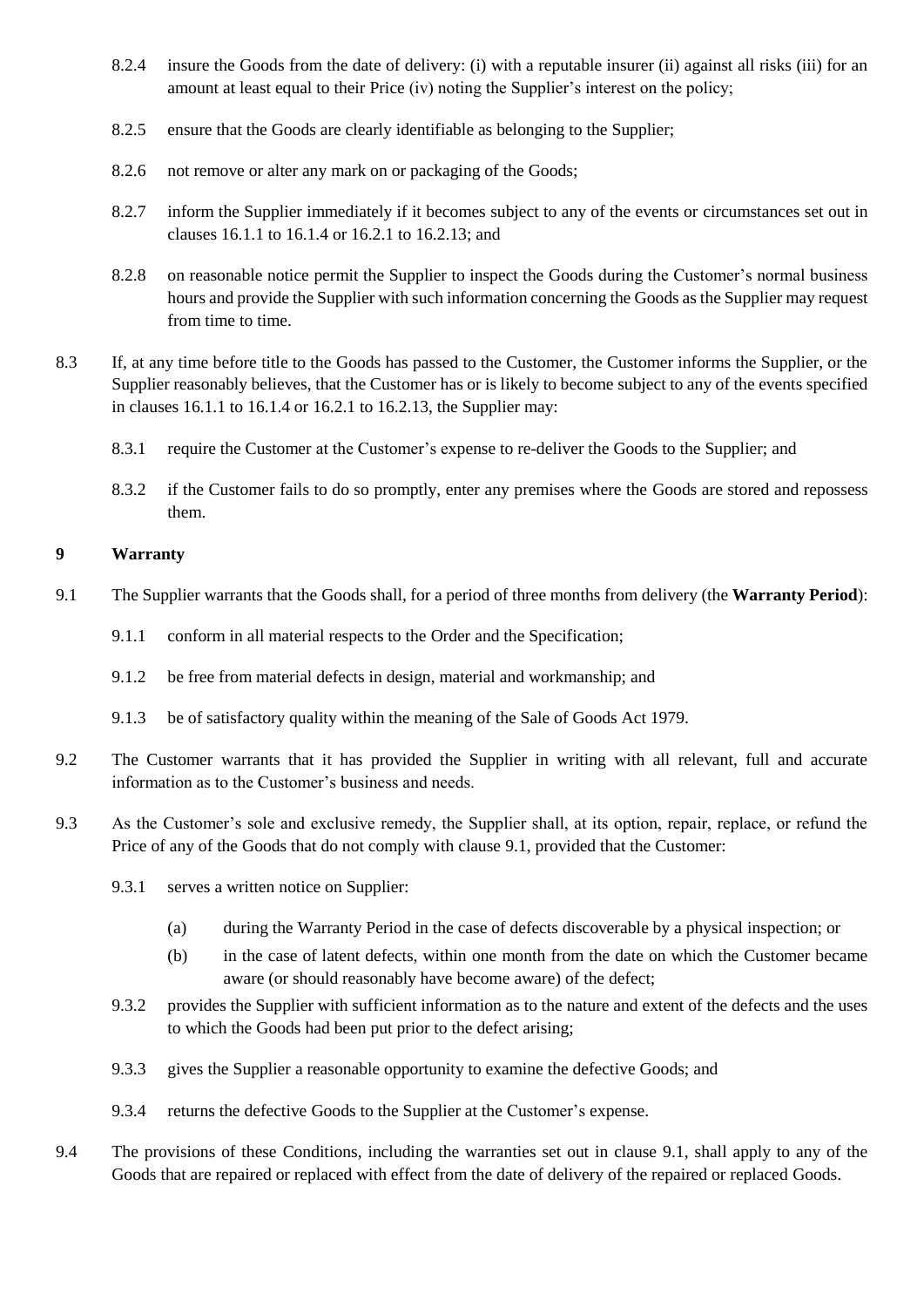- 8.2.4 insure the Goods from the date of delivery: (i) with a reputable insurer (ii) against all risks (iii) for an amount at least equal to their Price (iv) noting the Supplier's interest on the policy;
- 8.2.5 ensure that the Goods are clearly identifiable as belonging to the Supplier;
- 8.2.6 not remove or alter any mark on or packaging of the Goods;
- 8.2.7 inform the Supplier immediately if it becomes subject to any of the events or circumstances set out in clauses [16.1.1](#page-13-0) to [16.1.4](#page-13-1) or [16.2.1](#page-13-2) to 16.2.13; and
- 8.2.8 on reasonable notice permit the Supplier to inspect the Goods during the Customer's normal business hours and provide the Supplier with such information concerning the Goods as the Supplier may request from time to time.
- 8.3 If, at any time before title to the Goods has passed to the Customer, the Customer informs the Supplier, or the Supplier reasonably believes, that the Customer has or is likely to become subject to any of the events specified in clauses [16.1.1](#page-13-0) to [16.1.4](#page-13-1) or [16.2.1](#page-13-2) to 16.2.13, the Supplier may:
	- 8.3.1 require the Customer at the Customer's expense to re-deliver the Goods to the Supplier; and
	- 8.3.2 if the Customer fails to do so promptly, enter any premises where the Goods are stored and repossess them.

## <span id="page-9-1"></span><span id="page-9-0"></span>**9 Warranty**

- 9.1 The Supplier warrants that the Goods shall, for a period of three months from delivery (the **Warranty Period**):
	- 9.1.1 conform in all material respects to the Order and the Specification;
	- 9.1.2 be free from material defects in design, material and workmanship; and
	- 9.1.3 be of satisfactory quality within the meaning of the Sale of Goods Act 1979.
- 9.2 The Customer warrants that it has provided the Supplier in writing with all relevant, full and accurate information as to the Customer's business and needs.
- 9.3 As the Customer's sole and exclusive remedy, the Supplier shall, at its option, repair, replace, or refund the Price of any of the Goods that do not comply with clause [9.1,](#page-9-0) provided that the Customer:
	- 9.3.1 serves a written notice on Supplier:
		- (a) during the Warranty Period in the case of defects discoverable by a physical inspection; or
		- (b) in the case of latent defects, within one month from the date on which the Customer became aware (or should reasonably have become aware) of the defect;
	- 9.3.2 provides the Supplier with sufficient information as to the nature and extent of the defects and the uses to which the Goods had been put prior to the defect arising;
	- 9.3.3 gives the Supplier a reasonable opportunity to examine the defective Goods; and
	- 9.3.4 returns the defective Goods to the Supplier at the Customer's expense.
- 9.4 The provisions of these Conditions, including the warranties set out in clause [9.1,](#page-9-0) shall apply to any of the Goods that are repaired or replaced with effect from the date of delivery of the repaired or replaced Goods.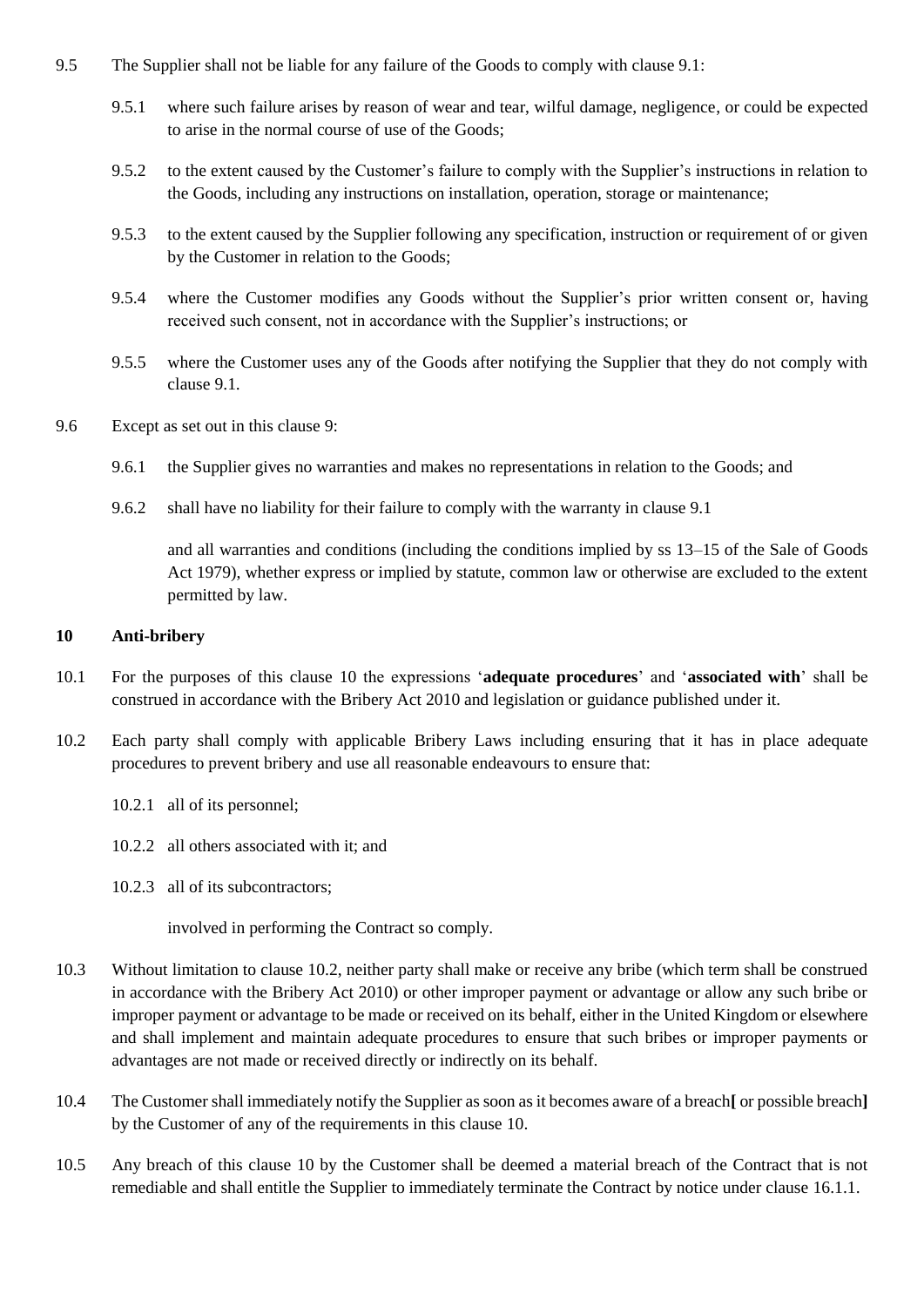- 9.5 The Supplier shall not be liable for any failure of the Goods to comply with clause [9.1:](#page-9-0)
	- 9.5.1 where such failure arises by reason of wear and tear, wilful damage, negligence, or could be expected to arise in the normal course of use of the Goods;
	- 9.5.2 to the extent caused by the Customer's failure to comply with the Supplier's instructions in relation to the Goods, including any instructions on installation, operation, storage or maintenance;
	- 9.5.3 to the extent caused by the Supplier following any specification, instruction or requirement of or given by the Customer in relation to the Goods;
	- 9.5.4 where the Customer modifies any Goods without the Supplier's prior written consent or, having received such consent, not in accordance with the Supplier's instructions; or
	- 9.5.5 where the Customer uses any of the Goods after notifying the Supplier that they do not comply with clause [9.1.](#page-9-0)
- 9.6 Except as set out in this clause [9:](#page-9-1)
	- 9.6.1 the Supplier gives no warranties and makes no representations in relation to the Goods; and
	- 9.6.2 shall have no liability for their failure to comply with the warranty in claus[e 9.1](#page-9-0)

<span id="page-10-0"></span>and all warranties and conditions (including the conditions implied by ss 13–15 of the Sale of Goods Act 1979), whether express or implied by statute, common law or otherwise are excluded to the extent permitted by law.

#### **10 Anti-bribery**

- 10.1 For the purposes of this clause [10](#page-10-0) the expressions '**adequate procedures**' and '**associated with**' shall be construed in accordance with the Bribery Act 2010 and legislation or guidance published under it.
- 10.2 Each party shall comply with applicable Bribery Laws including ensuring that it has in place adequate procedures to prevent bribery and use all reasonable endeavours to ensure that:
	- 10.2.1 all of its personnel;
	- 10.2.2 all others associated with it; and
	- 10.2.3 all of its subcontractors;

<span id="page-10-1"></span>involved in performing the Contract so comply.

- 10.3 Without limitation to clause [10.2,](#page-10-1) neither party shall make or receive any bribe (which term shall be construed in accordance with the Bribery Act 2010) or other improper payment or advantage or allow any such bribe or improper payment or advantage to be made or received on its behalf, either in the United Kingdom or elsewhere and shall implement and maintain adequate procedures to ensure that such bribes or improper payments or advantages are not made or received directly or indirectly on its behalf.
- 10.4 The Customer shall immediately notify the Supplier as soon as it becomes aware of a breach**[** or possible breach**]** by the Customer of any of the requirements in this clause [10.](#page-10-0)
- 10.5 Any breach of this clause [10](#page-10-0) by the Customer shall be deemed a material breach of the Contract that is not remediable and shall entitle the Supplier to immediately terminate the Contract by notice under clause [16.1.1.](#page-13-0)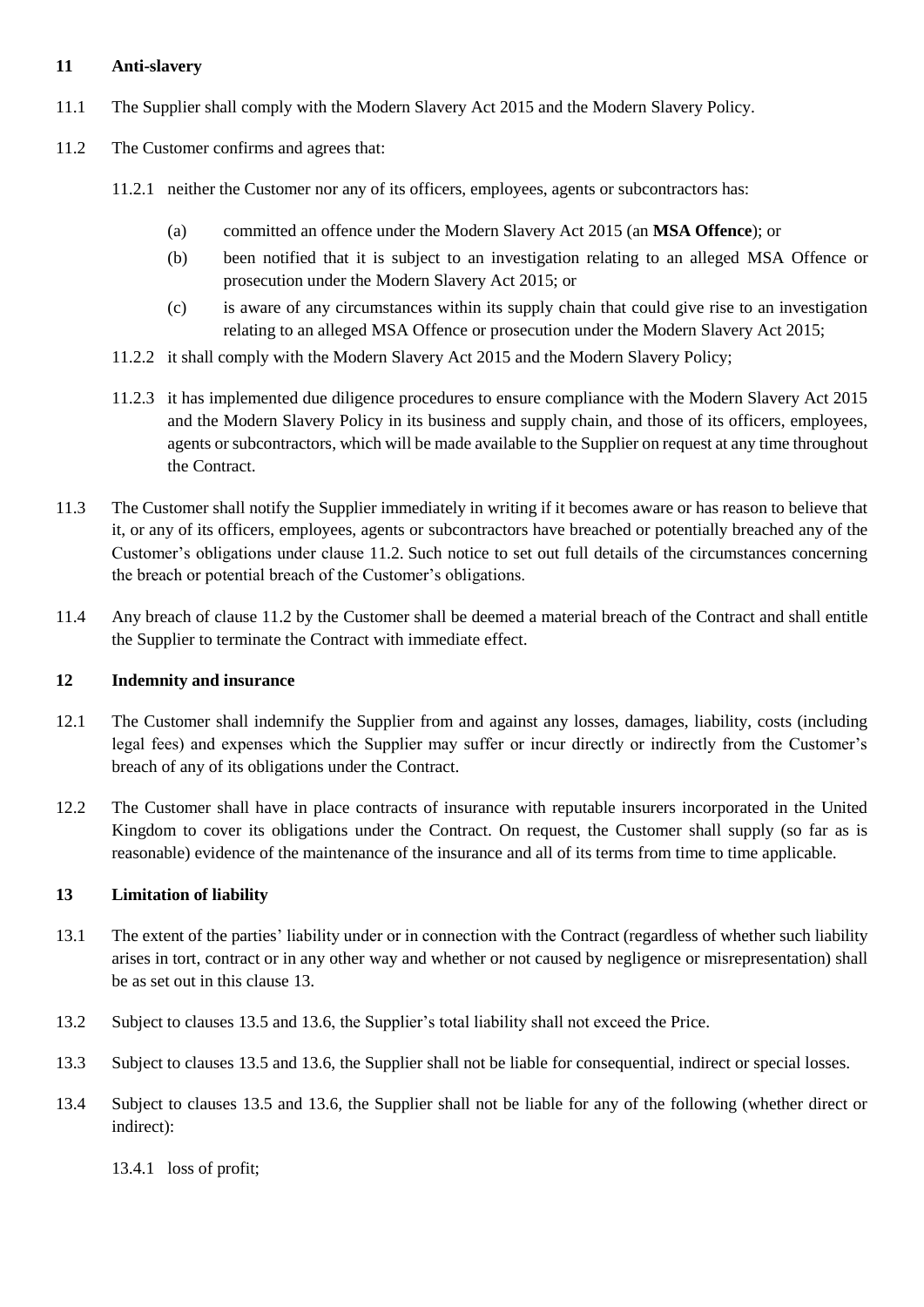## **11 Anti-slavery**

- 11.1 The Supplier shall comply with the Modern Slavery Act 2015 and the Modern Slavery Policy.
- <span id="page-11-0"></span>11.2 The Customer confirms and agrees that:
	- 11.2.1 neither the Customer nor any of its officers, employees, agents or subcontractors has:
		- (a) committed an offence under the Modern Slavery Act 2015 (an **MSA Offence**); or
		- (b) been notified that it is subject to an investigation relating to an alleged MSA Offence or prosecution under the Modern Slavery Act 2015; or
		- (c) is aware of any circumstances within its supply chain that could give rise to an investigation relating to an alleged MSA Offence or prosecution under the Modern Slavery Act 2015;
	- 11.2.2 it shall comply with the Modern Slavery Act 2015 and the Modern Slavery Policy;
	- 11.2.3 it has implemented due diligence procedures to ensure compliance with the Modern Slavery Act 2015 and the Modern Slavery Policy in its business and supply chain, and those of its officers, employees, agents or subcontractors, which will be made available to the Supplier on request at any time throughout the Contract.
- 11.3 The Customer shall notify the Supplier immediately in writing if it becomes aware or has reason to believe that it, or any of its officers, employees, agents or subcontractors have breached or potentially breached any of the Customer's obligations under clause [11.2.](#page-11-0) Such notice to set out full details of the circumstances concerning the breach or potential breach of the Customer's obligations.
- 11.4 Any breach of clause [11.2](#page-11-0) by the Customer shall be deemed a material breach of the Contract and shall entitle the Supplier to terminate the Contract with immediate effect.

## **12 Indemnity and insurance**

- 12.1 The Customer shall indemnify the Supplier from and against any losses, damages, liability, costs (including legal fees) and expenses which the Supplier may suffer or incur directly or indirectly from the Customer's breach of any of its obligations under the Contract.
- 12.2 The Customer shall have in place contracts of insurance with reputable insurers incorporated in the United Kingdom to cover its obligations under the Contract. On request, the Customer shall supply (so far as is reasonable) evidence of the maintenance of the insurance and all of its terms from time to time applicable.

## <span id="page-11-1"></span>**13 Limitation of liability**

- 13.1 The extent of the parties' liability under or in connection with the Contract (regardless of whether such liability arises in tort, contract or in any other way and whether or not caused by negligence or misrepresentation) shall be as set out in this clause [13.](#page-11-1)
- 13.2 Subject to clauses [13.5](#page-12-0) and [13.6,](#page-12-1) the Supplier's total liability shall not exceed the Price.
- 13.3 Subject to clauses [13.5](#page-12-0) and [13.6,](#page-12-1) the Supplier shall not be liable for consequential, indirect or special losses.
- 13.4 Subject to clauses [13.5](#page-12-0) and [13.6,](#page-12-1) the Supplier shall not be liable for any of the following (whether direct or indirect):

<span id="page-11-3"></span><span id="page-11-2"></span>13.4.1 loss of profit;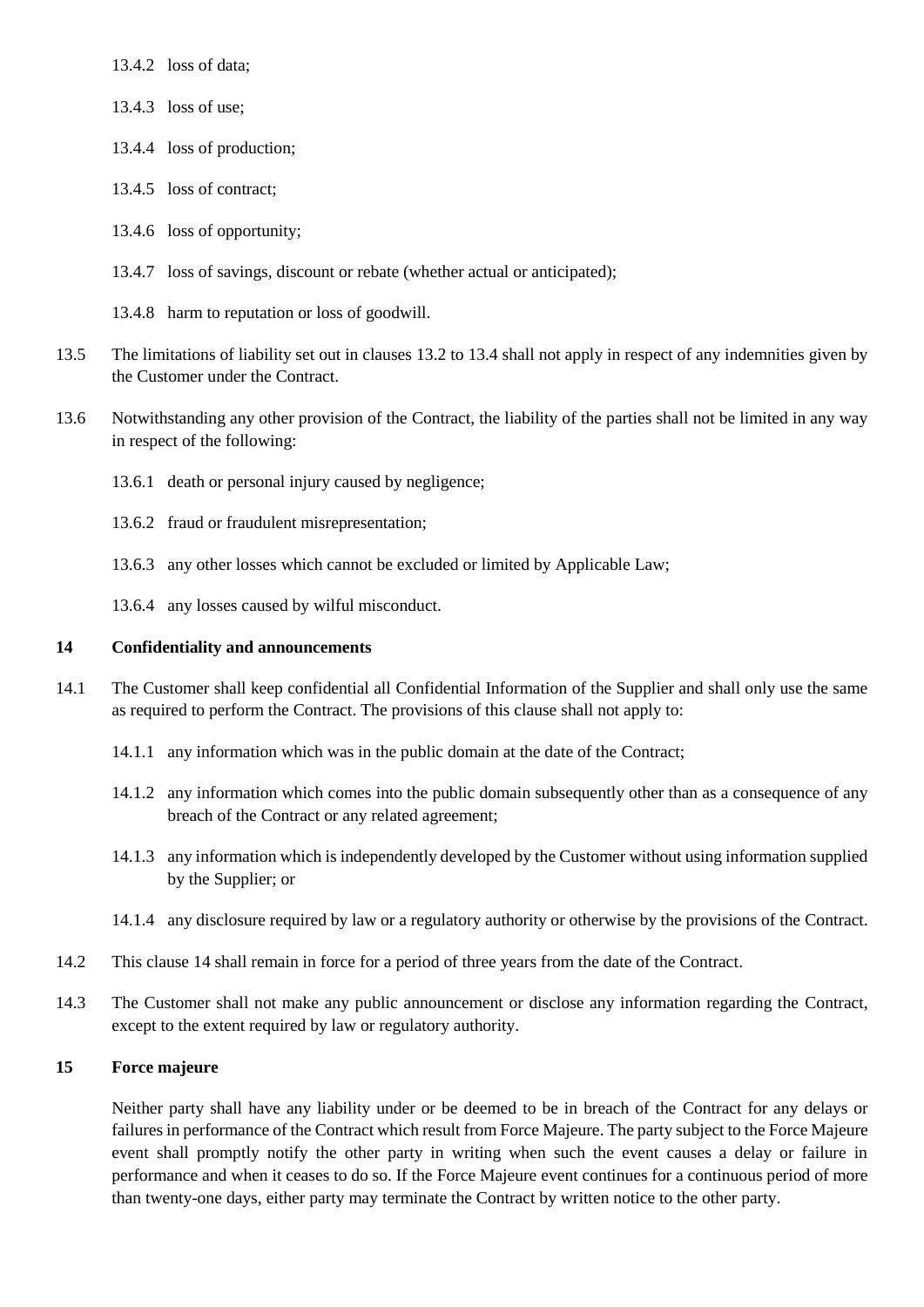13.4.2 loss of data;

- 13.4.3 loss of use;
- 13.4.4 loss of production;
- 13.4.5 loss of contract;
- 13.4.6 loss of opportunity;
- 13.4.7 loss of savings, discount or rebate (whether actual or anticipated);
- <span id="page-12-1"></span><span id="page-12-0"></span>13.4.8 harm to reputation or loss of goodwill.
- 13.5 The limitations of liability set out in clauses [13.2](#page-11-2) to [13.4](#page-11-3) shall not apply in respect of any indemnities given by the Customer under the Contract.
- 13.6 Notwithstanding any other provision of the Contract, the liability of the parties shall not be limited in any way in respect of the following:
	- 13.6.1 death or personal injury caused by negligence;
	- 13.6.2 fraud or fraudulent misrepresentation;
	- 13.6.3 any other losses which cannot be excluded or limited by Applicable Law;
	- 13.6.4 any losses caused by wilful misconduct.

#### <span id="page-12-2"></span>**14 Confidentiality and announcements**

- 14.1 The Customer shall keep confidential all Confidential Information of the Supplier and shall only use the same as required to perform the Contract. The provisions of this clause shall not apply to:
	- 14.1.1 any information which was in the public domain at the date of the Contract;
	- 14.1.2 any information which comes into the public domain subsequently other than as a consequence of any breach of the Contract or any related agreement;
	- 14.1.3 any information which is independently developed by the Customer without using information supplied by the Supplier; or
	- 14.1.4 any disclosure required by law or a regulatory authority or otherwise by the provisions of the Contract.
- 14.2 This clause [14](#page-12-2) shall remain in force for a period of three years from the date of the Contract.
- 14.3 The Customer shall not make any public announcement or disclose any information regarding the Contract, except to the extent required by law or regulatory authority.

### **15 Force majeure**

Neither party shall have any liability under or be deemed to be in breach of the Contract for any delays or failures in performance of the Contract which result from Force Majeure. The party subject to the Force Majeure event shall promptly notify the other party in writing when such the event causes a delay or failure in performance and when it ceases to do so. If the Force Majeure event continues for a continuous period of more than twenty-one days, either party may terminate the Contract by written notice to the other party.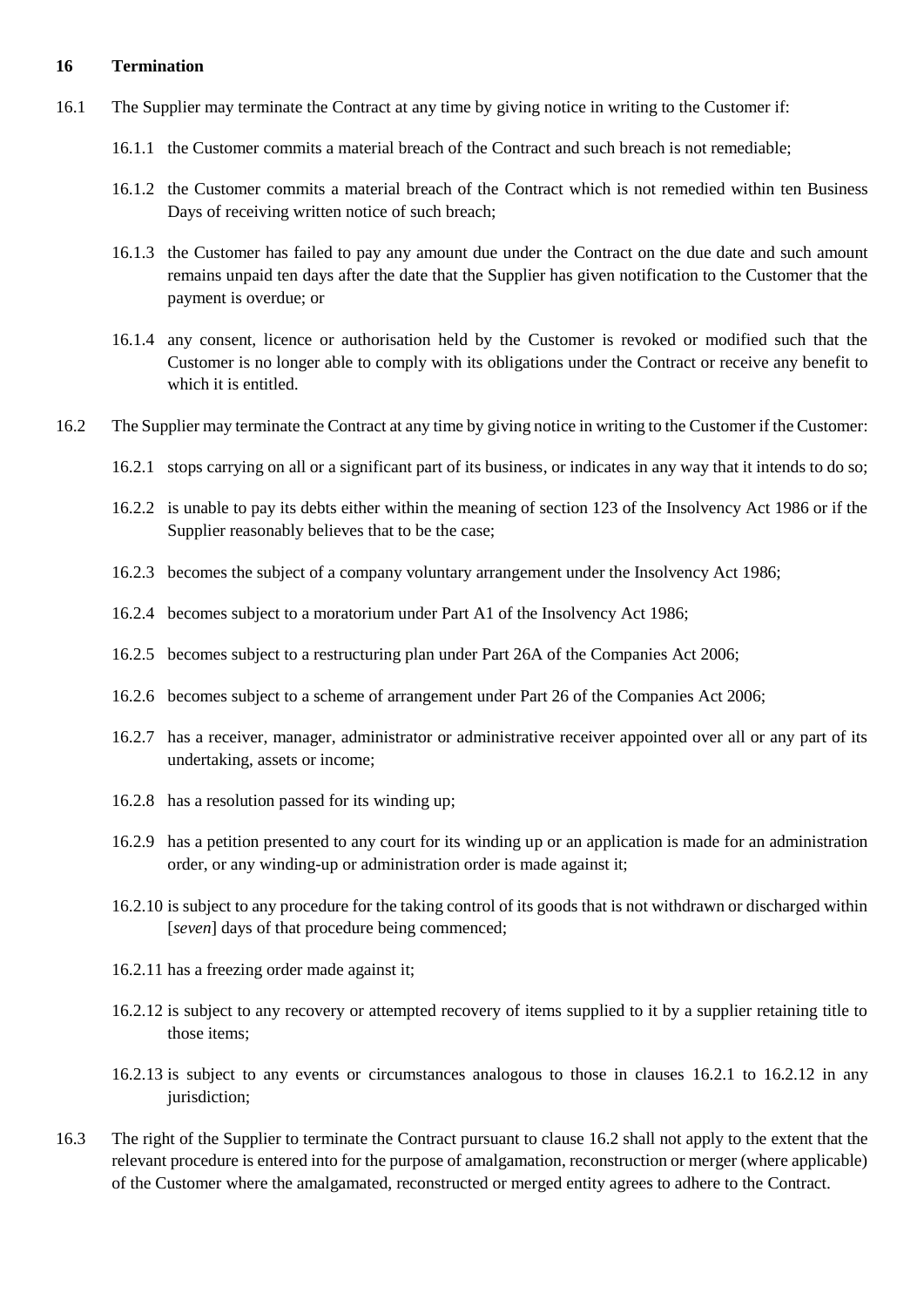#### <span id="page-13-3"></span>**16 Termination**

- <span id="page-13-0"></span>16.1 The Supplier may terminate the Contract at any time by giving notice in writing to the Customer if:
	- 16.1.1 the Customer commits a material breach of the Contract and such breach is not remediable;
	- 16.1.2 the Customer commits a material breach of the Contract which is not remedied within ten Business Days of receiving written notice of such breach;
	- 16.1.3 the Customer has failed to pay any amount due under the Contract on the due date and such amount remains unpaid ten days after the date that the Supplier has given notification to the Customer that the payment is overdue; or
	- 16.1.4 any consent, licence or authorisation held by the Customer is revoked or modified such that the Customer is no longer able to comply with its obligations under the Contract or receive any benefit to which it is entitled.
- <span id="page-13-2"></span><span id="page-13-1"></span>16.2 The Supplier may terminate the Contract at any time by giving notice in writing to the Customer if the Customer:
	- 16.2.1 stops carrying on all or a significant part of its business, or indicates in any way that it intends to do so;
	- 16.2.2 is unable to pay its debts either within the meaning of section 123 of the Insolvency Act 1986 or if the Supplier reasonably believes that to be the case;
	- 16.2.3 becomes the subject of a company voluntary arrangement under the Insolvency Act 1986;
	- 16.2.4 becomes subject to a moratorium under Part A1 of the Insolvency Act 1986;
	- 16.2.5 becomes subject to a restructuring plan under Part 26A of the Companies Act 2006;
	- 16.2.6 becomes subject to a scheme of arrangement under Part 26 of the Companies Act 2006;
	- 16.2.7 has a receiver, manager, administrator or administrative receiver appointed over all or any part of its undertaking, assets or income;
	- 16.2.8 has a resolution passed for its winding up;
	- 16.2.9 has a petition presented to any court for its winding up or an application is made for an administration order, or any winding-up or administration order is made against it;
	- 16.2.10 is subject to any procedure for the taking control of its goods that is not withdrawn or discharged within [*seven*] days of that procedure being commenced;
	- 16.2.11 has a freezing order made against it;
	- 16.2.12 is subject to any recovery or attempted recovery of items supplied to it by a supplier retaining title to those items;
	- 16.2.13 is subject to any events or circumstances analogous to those in clauses 16.2.1 to 16.2.12 in any jurisdiction;
- 16.3 The right of the Supplier to terminate the Contract pursuant to clause 16.2 shall not apply to the extent that the relevant procedure is entered into for the purpose of amalgamation, reconstruction or merger (where applicable) of the Customer where the amalgamated, reconstructed or merged entity agrees to adhere to the Contract.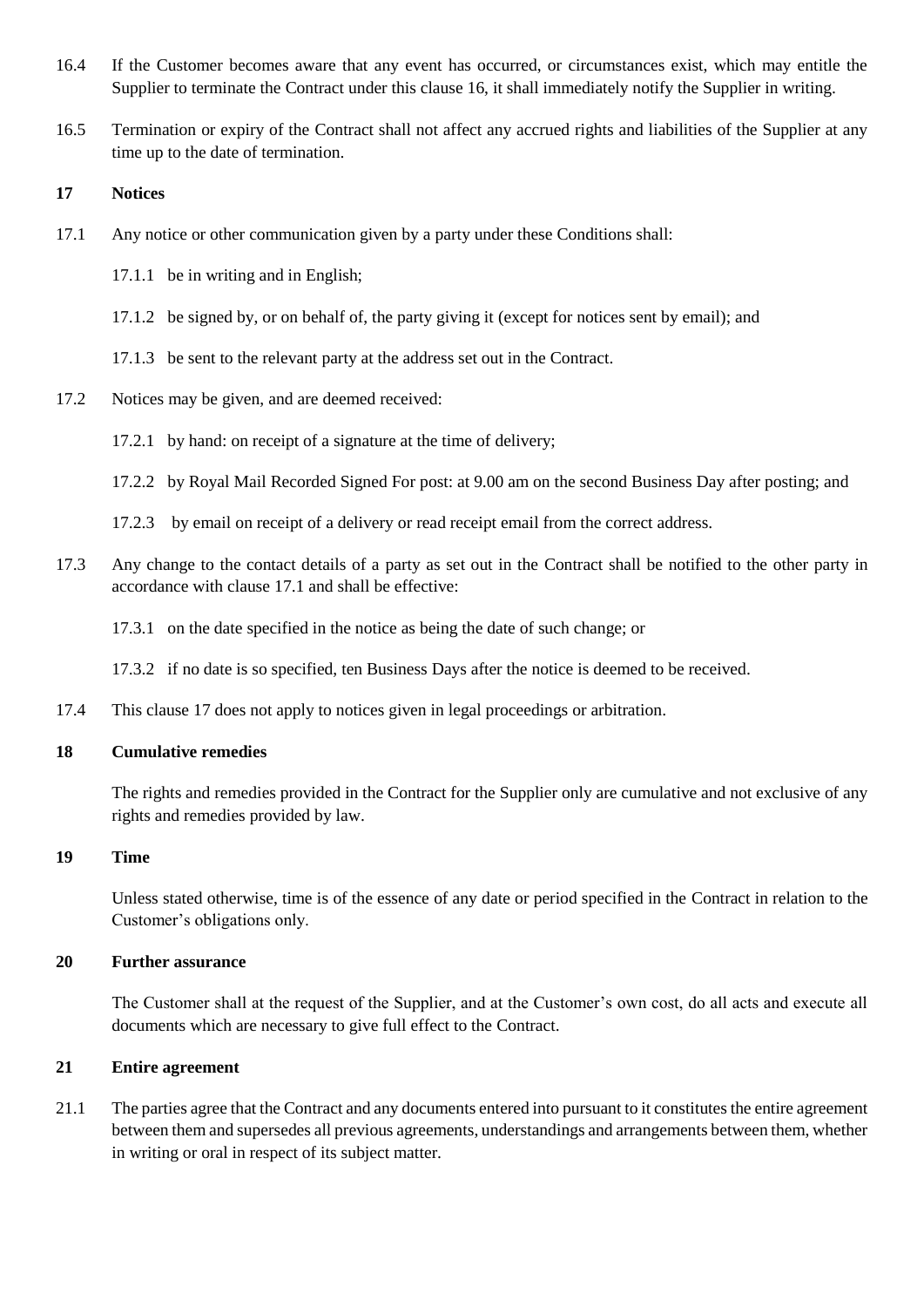- 16.4 If the Customer becomes aware that any event has occurred, or circumstances exist, which may entitle the Supplier to terminate the Contract under this clause [16,](#page-13-3) it shall immediately notify the Supplier in writing.
- 16.5 Termination or expiry of the Contract shall not affect any accrued rights and liabilities of the Supplier at any time up to the date of termination.

### **17 Notices**

- <span id="page-14-0"></span>17.1 Any notice or other communication given by a party under these Conditions shall:
	- 17.1.1 be in writing and in English;
	- 17.1.2 be signed by, or on behalf of, the party giving it (except for notices sent by email); and
	- 17.1.3 be sent to the relevant party at the address set out in the Contract.
- 17.2 Notices may be given, and are deemed received:
	- 17.2.1 by hand: on receipt of a signature at the time of delivery;
	- 17.2.2 by Royal Mail Recorded Signed For post: at 9.00 am on the second Business Day after posting; and
	- 17.2.3 by email on receipt of a delivery or read receipt email from the correct address.
- 17.3 Any change to the contact details of a party as set out in the Contract shall be notified to the other party in accordance with claus[e 17.1](#page-14-0) and shall be effective:
	- 17.3.1 on the date specified in the notice as being the date of such change; or
	- 17.3.2 if no date is so specified, ten Business Days after the notice is deemed to be received.
- 17.4 This clause 17 does not apply to notices given in legal proceedings or arbitration.

#### **18 Cumulative remedies**

The rights and remedies provided in the Contract for the Supplier only are cumulative and not exclusive of any rights and remedies provided by law.

#### **19 Time**

Unless stated otherwise, time is of the essence of any date or period specified in the Contract in relation to the Customer's obligations only.

## **20 Further assurance**

The Customer shall at the request of the Supplier, and at the Customer's own cost, do all acts and execute all documents which are necessary to give full effect to the Contract.

## **21 Entire agreement**

21.1 The parties agree that the Contract and any documents entered into pursuant to it constitutes the entire agreement between them and supersedes all previous agreements, understandings and arrangements between them, whether in writing or oral in respect of its subject matter.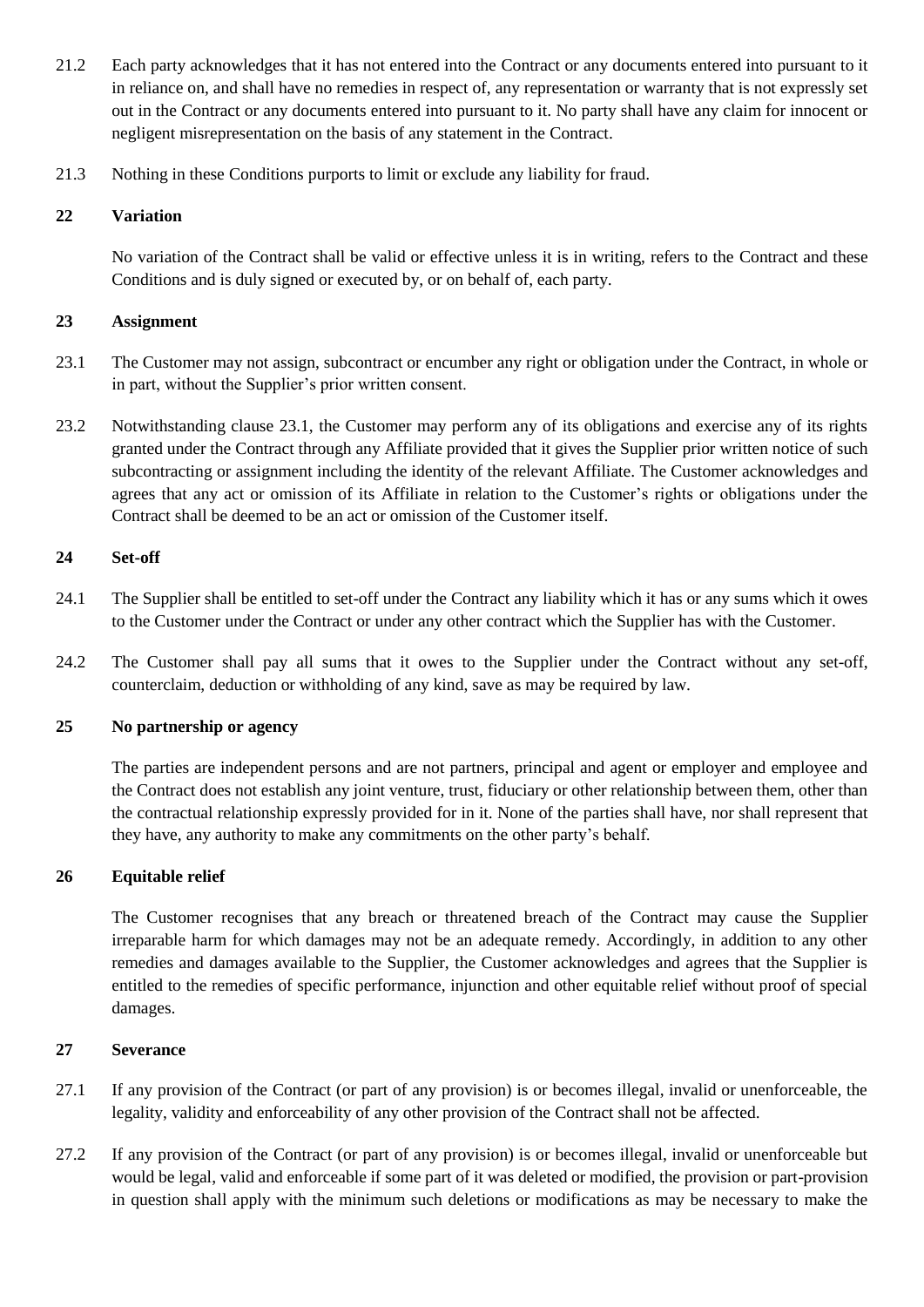- 21.2 Each party acknowledges that it has not entered into the Contract or any documents entered into pursuant to it in reliance on, and shall have no remedies in respect of, any representation or warranty that is not expressly set out in the Contract or any documents entered into pursuant to it. No party shall have any claim for innocent or negligent misrepresentation on the basis of any statement in the Contract.
- 21.3 Nothing in these Conditions purports to limit or exclude any liability for fraud.

## **22 Variation**

No variation of the Contract shall be valid or effective unless it is in writing, refers to the Contract and these Conditions and is duly signed or executed by, or on behalf of, each party.

## **23 Assignment**

- 23.1 The Customer may not assign, subcontract or encumber any right or obligation under the Contract, in whole or in part, without the Supplier's prior written consent.
- 23.2 Notwithstanding clause 23.1, the Customer may perform any of its obligations and exercise any of its rights granted under the Contract through any Affiliate provided that it gives the Supplier prior written notice of such subcontracting or assignment including the identity of the relevant Affiliate. The Customer acknowledges and agrees that any act or omission of its Affiliate in relation to the Customer's rights or obligations under the Contract shall be deemed to be an act or omission of the Customer itself.

## **24 Set-off**

- 24.1 The Supplier shall be entitled to set-off under the Contract any liability which it has or any sums which it owes to the Customer under the Contract or under any other contract which the Supplier has with the Customer.
- 24.2 The Customer shall pay all sums that it owes to the Supplier under the Contract without any set-off, counterclaim, deduction or withholding of any kind, save as may be required by law.

## **25 No partnership or agency**

The parties are independent persons and are not partners, principal and agent or employer and employee and the Contract does not establish any joint venture, trust, fiduciary or other relationship between them, other than the contractual relationship expressly provided for in it. None of the parties shall have, nor shall represent that they have, any authority to make any commitments on the other party's behalf.

## **26 Equitable relief**

The Customer recognises that any breach or threatened breach of the Contract may cause the Supplier irreparable harm for which damages may not be an adequate remedy. Accordingly, in addition to any other remedies and damages available to the Supplier, the Customer acknowledges and agrees that the Supplier is entitled to the remedies of specific performance, injunction and other equitable relief without proof of special damages.

## **27 Severance**

- 27.1 If any provision of the Contract (or part of any provision) is or becomes illegal, invalid or unenforceable, the legality, validity and enforceability of any other provision of the Contract shall not be affected.
- 27.2 If any provision of the Contract (or part of any provision) is or becomes illegal, invalid or unenforceable but would be legal, valid and enforceable if some part of it was deleted or modified, the provision or part-provision in question shall apply with the minimum such deletions or modifications as may be necessary to make the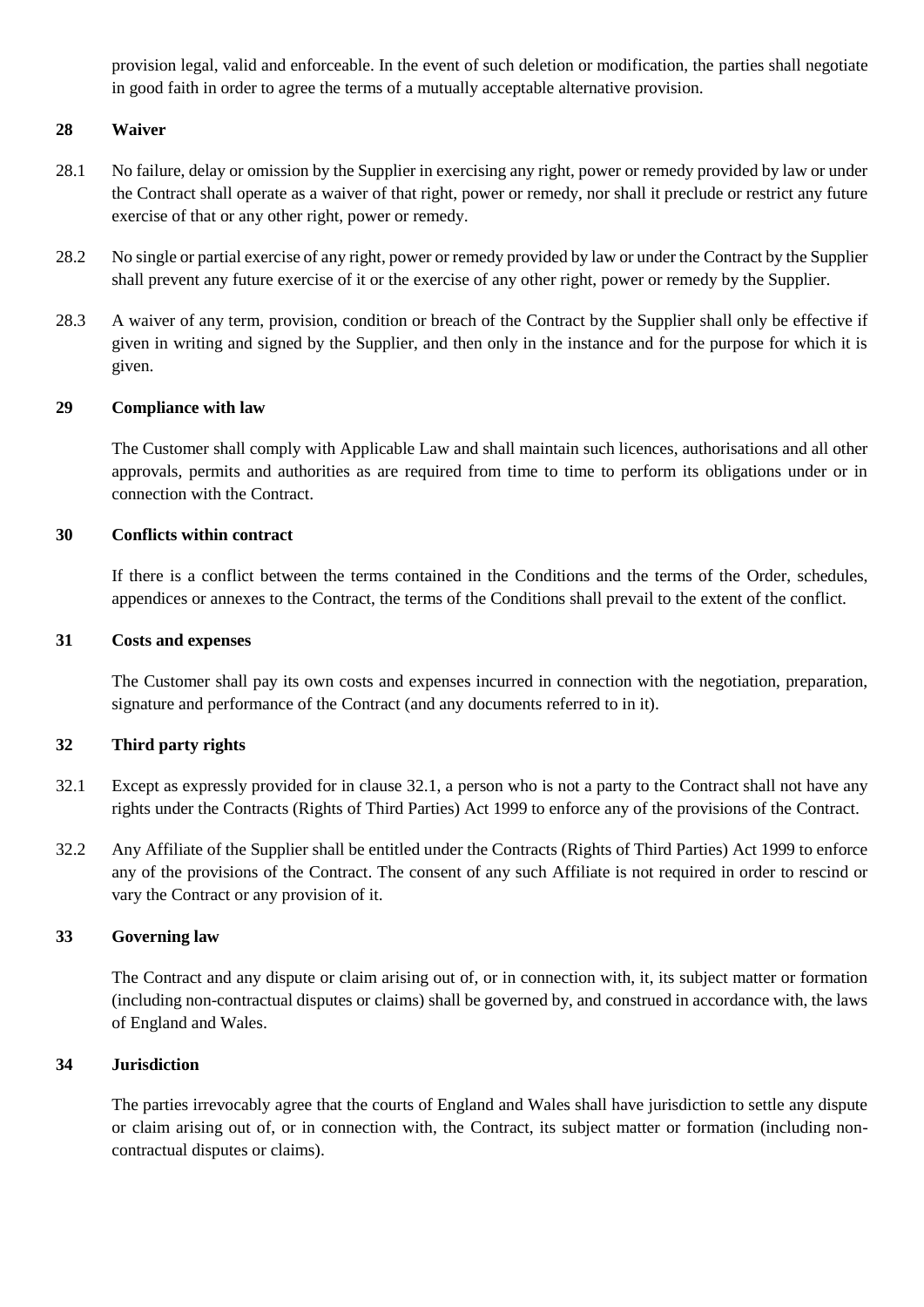provision legal, valid and enforceable. In the event of such deletion or modification, the parties shall negotiate in good faith in order to agree the terms of a mutually acceptable alternative provision.

### **28 Waiver**

- 28.1 No failure, delay or omission by the Supplier in exercising any right, power or remedy provided by law or under the Contract shall operate as a waiver of that right, power or remedy, nor shall it preclude or restrict any future exercise of that or any other right, power or remedy.
- 28.2 No single or partial exercise of any right, power or remedy provided by law or under the Contract by the Supplier shall prevent any future exercise of it or the exercise of any other right, power or remedy by the Supplier.
- 28.3 A waiver of any term, provision, condition or breach of the Contract by the Supplier shall only be effective if given in writing and signed by the Supplier, and then only in the instance and for the purpose for which it is given.

#### **29 Compliance with law**

The Customer shall comply with Applicable Law and shall maintain such licences, authorisations and all other approvals, permits and authorities as are required from time to time to perform its obligations under or in connection with the Contract.

#### **30 Conflicts within contract**

If there is a conflict between the terms contained in the Conditions and the terms of the Order, schedules, appendices or annexes to the Contract, the terms of the Conditions shall prevail to the extent of the conflict.

#### **31 Costs and expenses**

The Customer shall pay its own costs and expenses incurred in connection with the negotiation, preparation, signature and performance of the Contract (and any documents referred to in it).

#### **32 Third party rights**

- 32.1 Except as expressly provided for in clause 32.1, a person who is not a party to the Contract shall not have any rights under the Contracts (Rights of Third Parties) Act 1999 to enforce any of the provisions of the Contract.
- 32.2 Any Affiliate of the Supplier shall be entitled under the Contracts (Rights of Third Parties) Act 1999 to enforce any of the provisions of the Contract. The consent of any such Affiliate is not required in order to rescind or vary the Contract or any provision of it.

#### **33 Governing law**

The Contract and any dispute or claim arising out of, or in connection with, it, its subject matter or formation (including non-contractual disputes or claims) shall be governed by, and construed in accordance with, the laws of England and Wales.

#### **34 Jurisdiction**

The parties irrevocably agree that the courts of England and Wales shall have jurisdiction to settle any dispute or claim arising out of, or in connection with, the Contract, its subject matter or formation (including noncontractual disputes or claims).